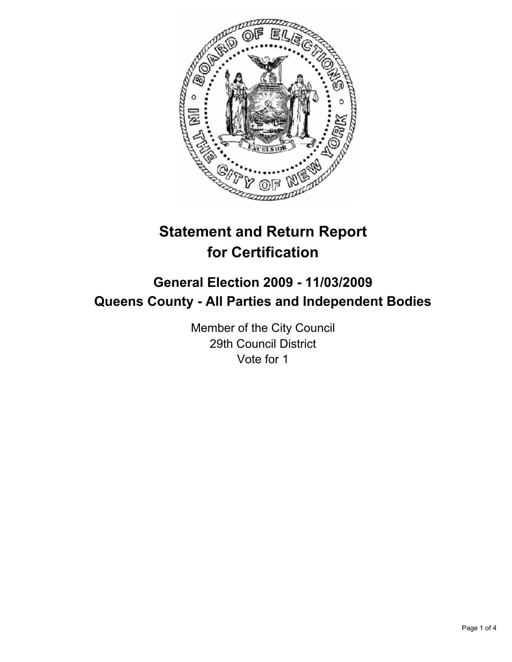

# **Statement and Return Report for Certification**

## **General Election 2009 - 11/03/2009 Queens County - All Parties and Independent Bodies**

Member of the City Council 29th Council District Vote for 1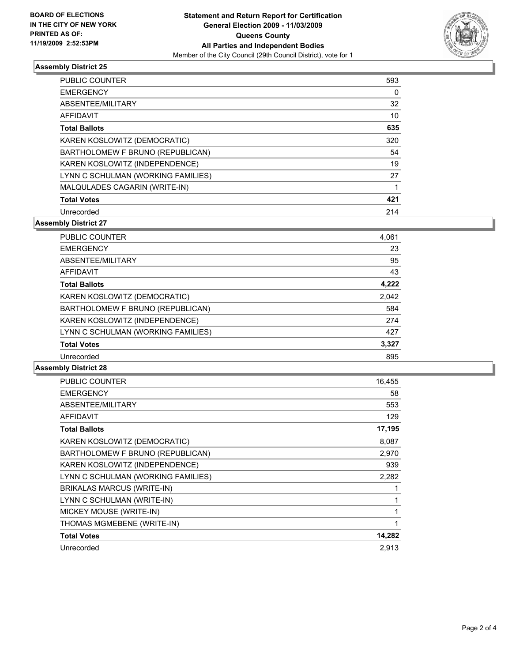

#### **Assembly District 25**

| <b>PUBLIC COUNTER</b>              | 593 |
|------------------------------------|-----|
| <b>EMERGENCY</b>                   | 0   |
| ABSENTEE/MILITARY                  | 32  |
| AFFIDAVIT                          | 10  |
| <b>Total Ballots</b>               | 635 |
| KAREN KOSLOWITZ (DEMOCRATIC)       | 320 |
| BARTHOLOMEW F BRUNO (REPUBLICAN)   | 54  |
| KAREN KOSLOWITZ (INDEPENDENCE)     | 19  |
| LYNN C SCHULMAN (WORKING FAMILIES) | 27  |
| MALQULADES CAGARIN (WRITE-IN)      |     |
| <b>Total Votes</b>                 | 421 |
| Unrecorded                         | 214 |

**Assembly District 27**

| <b>PUBLIC COUNTER</b>              | 4,061 |
|------------------------------------|-------|
| <b>EMERGENCY</b>                   | 23    |
| ABSENTEE/MILITARY                  | 95    |
| AFFIDAVIT                          | 43    |
| <b>Total Ballots</b>               | 4,222 |
| KAREN KOSLOWITZ (DEMOCRATIC)       | 2.042 |
| BARTHOLOMEW F BRUNO (REPUBLICAN)   | 584   |
| KAREN KOSLOWITZ (INDEPENDENCE)     | 274   |
| LYNN C SCHULMAN (WORKING FAMILIES) | 427   |
| <b>Total Votes</b>                 | 3,327 |
| Unrecorded                         | 895   |

### **Assembly District 28**

| <b>PUBLIC COUNTER</b>              | 16,455 |
|------------------------------------|--------|
| <b>EMERGENCY</b>                   | 58     |
| ABSENTEE/MILITARY                  | 553    |
| <b>AFFIDAVIT</b>                   | 129    |
| <b>Total Ballots</b>               | 17,195 |
| KAREN KOSLOWITZ (DEMOCRATIC)       | 8,087  |
| BARTHOLOMEW F BRUNO (REPUBLICAN)   | 2,970  |
| KAREN KOSLOWITZ (INDEPENDENCE)     | 939    |
| LYNN C SCHULMAN (WORKING FAMILIES) | 2,282  |
| <b>BRIKALAS MARCUS (WRITE-IN)</b>  |        |
| LYNN C SCHULMAN (WRITE-IN)         |        |
| MICKEY MOUSE (WRITE-IN)            | 1      |
| THOMAS MGMEBENE (WRITE-IN)         | 1      |
| <b>Total Votes</b>                 | 14,282 |
| Unrecorded                         | 2,913  |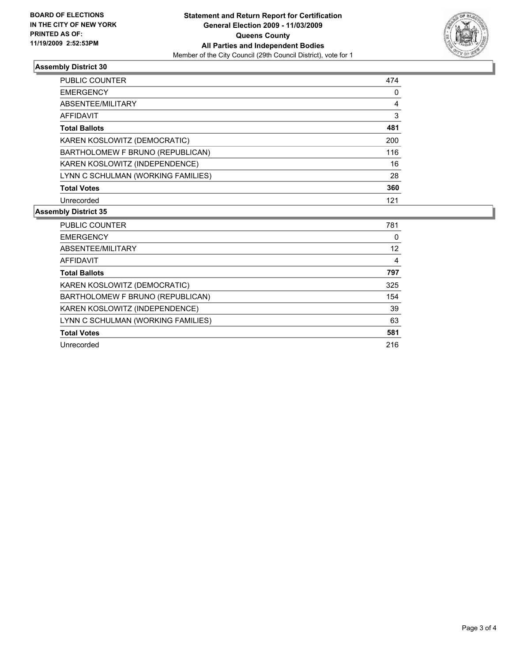

#### **Assembly District 30**

| 474 |
|-----|
| 0   |
| 4   |
| 3   |
| 481 |
| 200 |
| 116 |
| 16  |
| 28  |
| 360 |
| 121 |
|     |

#### **Assembly District 35**

| <b>PUBLIC COUNTER</b>              | 781 |
|------------------------------------|-----|
| <b>EMERGENCY</b>                   | 0   |
| ABSENTEE/MILITARY                  | 12  |
| AFFIDAVIT                          | 4   |
| <b>Total Ballots</b>               | 797 |
| KAREN KOSLOWITZ (DEMOCRATIC)       | 325 |
| BARTHOLOMEW F BRUNO (REPUBLICAN)   | 154 |
| KAREN KOSLOWITZ (INDEPENDENCE)     | 39  |
| LYNN C SCHULMAN (WORKING FAMILIES) | 63  |
| <b>Total Votes</b>                 | 581 |
| Unrecorded                         | 216 |